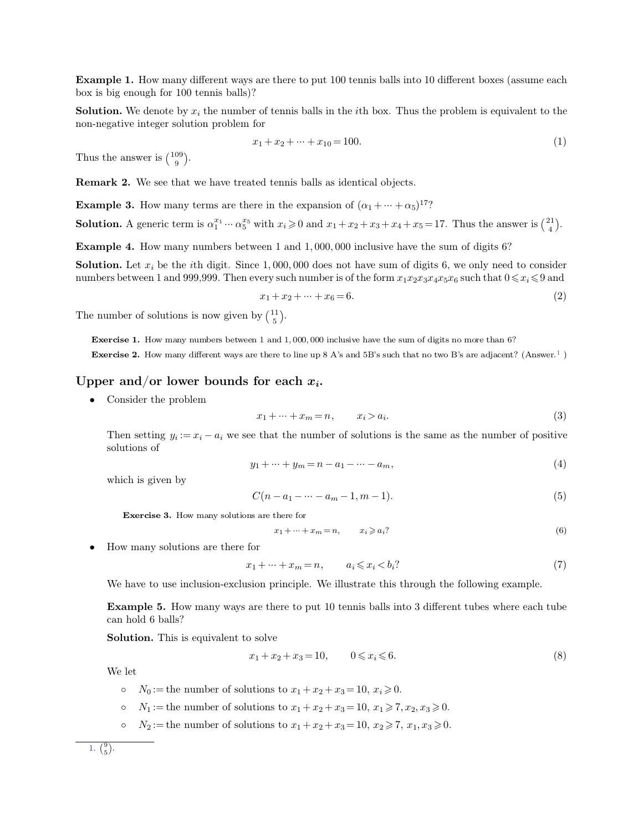**Example 1.** How many different ways are there to put 100 tennis balls into 10 different boxes (assume each box is big enough for 100 tennis balls)? **Example 1.** How many different ways are then<br>box is big enough for 100 tennis balls)?<br>**Solution.** We denote by  $x_i$  the number of tenni

**Solution.** We denote by  $x_i$  the number of tennis balls in the *i*th box. Thus the problem is equivalent to the non-negative integer solution problem for **Example 1.** How many different ways are there<br>box is big enough for 100 tennis balls)?<br>**Solution.** We denote by  $x_i$  the number of tennis<br>non-negative integer solution problem for<br> $x_1 + x_2 +$ Solution. We denote by  $x_i$  to non-negative integer solution<br>Thus the answer is  $\binom{109}{9}$ .

$$
x_1 + x_2 + \dots + x_{10} = 100. \tag{1}
$$

 $\binom{109}{9}$ .

**Remark 2.** We see that we have treated tennis balls as identical objects.<br>**Example 3.** How many terms are there in the expansion of  $(\alpha_1 + \cdots + \alpha_5)^{17}$ ? **Example 3.** How many terms are there in the expansion of  $(\alpha_1 + \cdots + \alpha_5)^{17}$ ?<br> **Solution.** A generic term is  $\alpha_1^{x_1} \cdots \alpha_5^{x_5}$  with  $x_i \ge 0$  and  $x_1 + x_2 + x_3 + x_4 + x_5 = 17$ . The

**Remark 2.** We see that we have treated tennis balls as identical objects.<br> **Example 3.** How many terms are there in the expansion of  $(\alpha_1 + \cdots + \alpha_5)^{17}$ ?<br> **Solution.** A generic term is  $\alpha_1^{x_1} \cdots \alpha_5^{x_5}$  with  $x_i \ge$  $\binom{21}{4}$ . **Example 3.** How many terms are there in the expansion of  $(\alpha_1 + \cdots + \alpha_5)^{17}$ ?<br> **Solution.** A generic term is  $\alpha_1^{x_1} \cdots \alpha_5^{x_5}$  with  $x_i \ge 0$  and  $x_1 + x_2 + x_3 + x_4 + x_5 = 17$ . Thus the answer is (<br> **Example 4.** How ma

**Example 3.** How many terms are there in the expansion of  $(\alpha_1 + \cdots + \alpha_5)^{17}$ ?<br> **Solution.** A generic term is  $\alpha_1^{x_1} \cdots \alpha_5^{x_5}$  with  $x_i \ge 0$  and  $x_1 + x_2 + x_3 + x_4 + x_5 = 17$ . Thus the answer is  $\begin{pmatrix} 21 \\ 4 \end{pmatrix}$ .<br> **Solution.** A generic term is  $\alpha_1^{x_1} \cdots \alpha_5^{x_5}$  with  $x_i \ge 0$  and  $x_1 + x_2 + x_3 + x_4 + x_5 = 17$ . Thus the answer is  $\begin{pmatrix} 21 \\ 4 \end{pmatrix}$ .<br>**Example 4.** How many numbers between 1 and 1,000,000 inclusive have the sum of d *x*<sub>1</sub>, 000, 000 inclusive have the sum of digits 6?<br>
1, 000, 000 does not have sum of digits 6, we only need to consider ery such number is of the form  $x_1x_2x_3x_4x_5x_6$  such that  $0 \le x_i \le 9$  and  $x_1 + x_2 + \dots + x_6 = 6$ **Solution.** Let  $x_i$  be the *i*th digit. Since 1,000,000<br>numbers between 1 and 999,999. Then every such not<br> $x_1 + x_2 +$ .<br>The number of solutions is now given by  $\binom{11}{5}$ .

$$
x_1 + x_2 + \dots + x_6 = 6.\tag{2}
$$

 $\binom{11}{5}$ .

**Exercise 1.** How many numbers between 1 and 1,000,000 inclusive have the sum of digits no more than 6?<br>**Exercise 2.** How many different ways are there to line up 8 A's and 5B's such that no two B's are adjacent? (Answer **Exercise 1.** How many numbers between 1 and 1,000,000 inclusive have the sum of digits no more than 6?<br>**Exercise 2.** How many different ways are there to line up 8 A's and 5B's such that no two B's are adjacent? (Answer. The number of solutions is now given by  $\binom{11}{5}$ .<br> **Exercise 1.** How many numbers between 1 and 1,000,000 inclusive<br> **Exercise 2.** How many different ways are there to line up 8 A's and<br> **Upper and/or lower bounds for** 

<span id="page-0-0"></span>
$$
x_1 + \dots + x_m = n, \qquad x_i > a_i.
$$
\n(3)

\nthat the number of solutions is the same as the number of positive.

**Example 18 is a consider the problem**<br>  $x_1 + \dots + x_m = n,$   $x_i > a_i.$  (3)<br>
Then setting  $y_i := x_i - a_i$  we see that the number of solutions is the same as the number of positive<br>
solutions of Consider the problem<br>Then setting  $y_i := s$ <br>solutions of we that the number of solutions is the same as the number of positive<br>  $y_1 + \dots + y_m = n - a_1 - \dots - a_m,$  (4)<br>  $C(n - a_1 - \dots - a_m - 1, m - 1).$  (5) Then setting  $y_i := x_i - a_i$ <br>solutions of<br>which is given by  $y_1 + \dots + y_m = n - a_1 - \dots - a_m,$ <br>  $C(n - a_1 - \dots - a_m - 1, m - 1).$ (5)<br>
s are there for<br>  $x_1 + \dots + x_m = n, \quad x_i \geqslant a_i$ ? (6)

$$
y_1 + \dots + y_m = n - a_1 - \dots - a_m,\tag{4}
$$

which is given by  
\n
$$
C(n-a_1-\cdots-a_m-1,m-1).
$$
\n(5)  
\n**Exercise 3.** How many solutions are there for  
\n
$$
x_1+\cdots+x_m=n, \qquad x_i \geq a_i?
$$
\n(6)  
\n**Example 4.** How many solutions are there for  
\n
$$
x_1+\cdots+x_m=n, \qquad a_i \leq x_i < b_i?
$$
\n(7)

$$
x_1 + \dots + x_m = n, \qquad x_i \geqslant a_i
$$
\n<sup>(6)</sup>

ions are there for

\n
$$
x_1 + \dots + x_m = n, \qquad x_i \geqslant a_i?
$$
\n(6)

\nFor

\n
$$
x_1 + \dots + x_m = n, \qquad a_i \leqslant x_i < b_i?
$$
\n(7)

\nusion principle. We illustrate this through the following example.

How many solutions are there for<br>  $x_1 + \dots + x_m = n,$   $a_i \le x_i < b_i$ ? (7<br>
We have to use inclusion-exclusion principle. We illustrate this through the following example.<br>
Figures 2.4 There were are there to put 10 topic hells int

**Example 5.** How many ways are there to put 10 tennis balls into 3 different tubes where each tube can hold 6 balls? We have to use inclusion<br>**Example 5.** How many<br>can hold 6 balls?<br>**Solution.** This is equiva We have to use inclusion-exclusion principle.<br> **Example 5.** How many ways are there to p<br>
can hold 6 balls?<br> **Solution.** This is equivalent to solve<br>  $x_1 + x_2 + x_3 =$ **Example 3.** How many ways are there to put 10 tenms bans into 3 dimerent tubes w<br>can hold 6 balls?<br>**Solution.** This is equivalent to solve<br> $x_1 + x_2 + x_3 = 10, \quad 0 \le x_i \le 6.$ <br>We let<br> $\circ N_0 :=$  the number of solutions to  $x_1 + x$ 

$$
x_1 + x_2 + x_3 = 10, \qquad 0 \le x_i \le 6. \tag{8}
$$

- 
- 
-